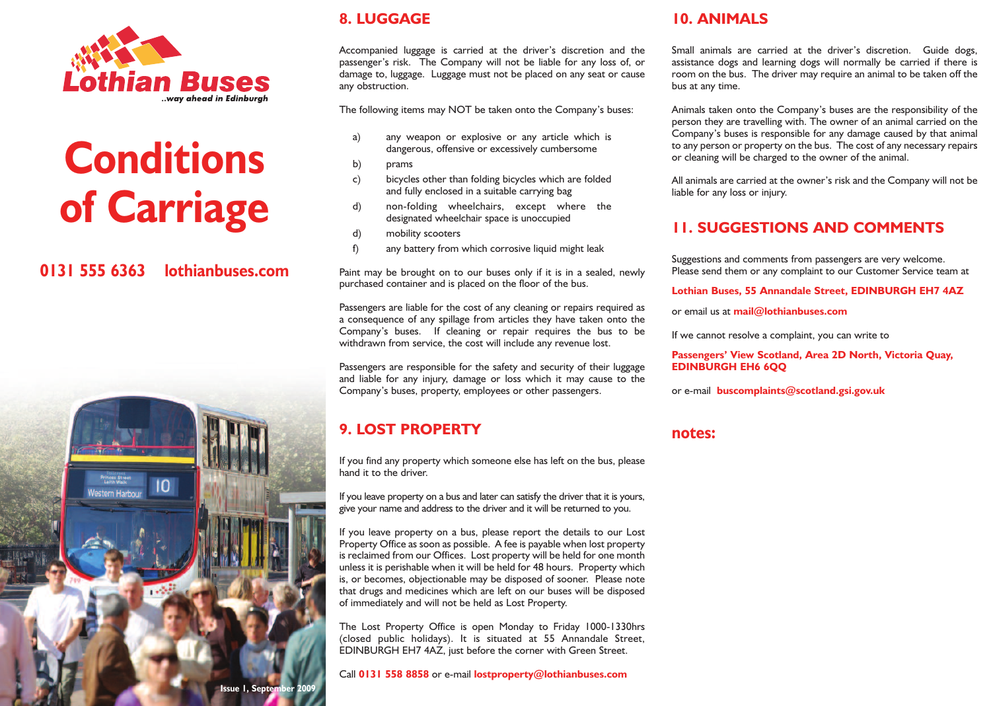

# **Conditions of Carriage**

# **0131 555 6363 lothianbuses.com**



## **8. LUGGAGE**

Accompanied luggage is carried at the driver's discretion and the passenger's risk. The Company will not be liable for any loss of, or damage to, luggage. Luggage must not be placed on any seat or cause any obstruction.

The following items may NOT be taken onto the Company's buses:

- a) any weapon or explosive or any article which is dangerous, offensive or excessively cumbersome
- b) prams
- c) bicycles other than folding bicycles which are folded and fully enclosed in a suitable carrying bag
- d) non-folding wheelchairs, except where the designated wheelchair space is unoccupied
- d) mobility scooters
- f) any battery from which corrosive liquid might leak

Paint may be brought on to our buses only if it is in a sealed, newly purchased container and is placed on the floor of the bus.

Passengers are liable for the cost of any cleaning or repairs required as a consequence of any spillage from articles they have taken onto the Company's buses. If cleaning or repair requires the bus to be withdrawn from service, the cost will include any revenue lost.

Passengers are responsible for the safety and security of their luggage and liable for any injury, damage or loss which it may cause to the Company's buses, property, employees or other passengers.

# **9. LOST PROPERTY**

If you find any property which someone else has left on the bus, please hand it to the driver.

If you leave property on a bus and later can satisfy the driver that it is yours, give your name and address to the driver and it will be returned to you.

If you leave property on a bus, please report the details to our Lost Property Office as soon as possible. A fee is payable when lost property is reclaimed from our Offices. Lost property will be held for one month unless it is perishable when it will be held for 48 hours. Property which is, or becomes, objectionable may be disposed of sooner. Please note that drugs and medicines which are left on our buses will be disposed of immediately and will not be held as Lost Property.

The Lost Property Office is open Monday to Friday 1000-1330hrs (closed public holidays). It is situated at 55 Annandale Street, EDINBURGH EH7 4AZ, just before the corner with Green Street.

Call **0131 558 8858** or e-mail **lostproperty@lothianbuses.com**

# **10. ANIMALS**

Small animals are carried at the driver's discretion. Guide dogs, assistance dogs and learning dogs will normally be carried if there is room on the bus. The driver may require an animal to be taken off the bus at any time.

Animals taken onto the Company's buses are the responsibility of the person they are travelling with. The owner of an animal carried on the Company's buses is responsible for any damage caused by that animal to any person or property on the bus. The cost of any necessary repairs or cleaning will be charged to the owner of the animal.

All animals are carried at the owner's risk and the Company will not be liable for any loss or injury.

## **11. SUGGESTIONS AND COMMENTS**

Suggestions and comments from passengers are very welcome. Please send them or any complaint to our Customer Service team at

**Lothian Buses, 55 Annandale Street, EDINBURGH EH7 4AZ**

or email us at **mail@lothianbuses.com**

If we cannot resolve a complaint, you can write to

#### **Passengers' View Scotland, Area 2D North, Victoria Quay, EDINBURGH EH6 6QQ**

or e-mail **buscomplaints@scotland.gsi.gov.uk**

## **notes:**